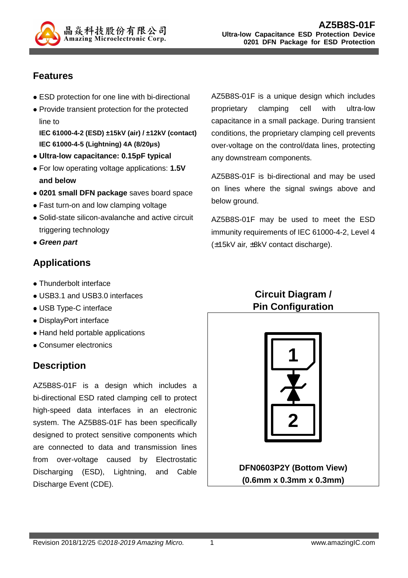

# **Features**

- ESD protection for one line with bi-directional
- Provide transient protection for the protected line to

**IEC 61000-4-2 (ESD) ±15kV (air) / ±12kV (contact) IEC 61000-4-5 (Lightning) 4A (8/20μs)** 

- **Ultra-low capacitance: 0.15pF typical**
- For low operating voltage applications: **1.5V and below**
- **0201 small DFN package** saves board space
- Fast turn-on and low clamping voltage
- Solid-state silicon-avalanche and active circuit triggering technology
- **Green part**

# **Applications**

- Thunderbolt interface
- USB3.1 and USB3.0 interfaces
- USB Type-C interface
- DisplayPort interface
- Hand held portable applications
- Consumer electronics

## **Description**

AZ5B8S-01F is a design which includes a bi-directional ESD rated clamping cell to protect high-speed data interfaces in an electronic system. The AZ5B8S-01F has been specifically designed to protect sensitive components which are connected to data and transmission lines from over-voltage caused by Electrostatic Discharging (ESD), Lightning, and Cable Discharge Event (CDE).

AZ5B8S-01F is a unique design which includes proprietary clamping cell with ultra-low capacitance in a small package. During transient conditions, the proprietary clamping cell prevents over-voltage on the control/data lines, protecting any downstream components.

AZ5B8S-01F is bi-directional and may be used on lines where the signal swings above and below ground.

AZ5B8S-01F may be used to meet the ESD immunity requirements of IEC 61000-4-2, Level 4 (±15kV air, ±8kV contact discharge).

# **Circuit Diagram / Pin Configuration**



**DFN0603P2Y (Bottom View) (0.6mm x 0.3mm x 0.3mm)**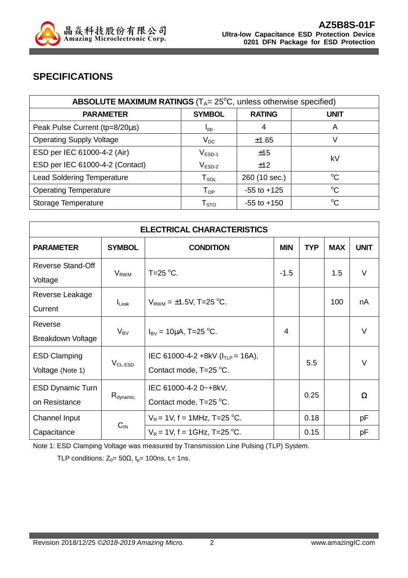

# **SPECIFICATIONS**

| <b>ABSOLUTE MAXIMUM RATINGS</b> ( $T_A = 25^\circ C$ , unless otherwise specified) |                             |                 |             |  |
|------------------------------------------------------------------------------------|-----------------------------|-----------------|-------------|--|
| <b>PARAMETER</b>                                                                   | <b>SYMBOL</b>               | <b>RATING</b>   | <b>UNIT</b> |  |
| Peak Pulse Current (tp=8/20µs)                                                     | $I_{\text{pp}}$             | 4               | Α           |  |
| <b>Operating Supply Voltage</b>                                                    | $V_{DC}$                    | ±1.65           | V           |  |
| ESD per IEC 61000-4-2 (Air)                                                        | $V_{ESD-1}$                 | ±15             | kV          |  |
| ESD per IEC 61000-4-2 (Contact)                                                    | $V_{ESD-2}$                 | ±12             |             |  |
| <b>Lead Soldering Temperature</b>                                                  | $T_{\texttt{SOL}}$          | 260 (10 sec.)   | $^{\circ}C$ |  |
| <b>Operating Temperature</b>                                                       | ${\mathsf T}_{\textsf{OP}}$ | $-55$ to $+125$ | $^{\circ}C$ |  |
| Storage Temperature                                                                | ${\sf T}_{\text{STO}}$      | $-55$ to $+150$ | $^{\circ}C$ |  |

| <b>ELECTRICAL CHARACTERISTICS</b>        |                   |                                                                  |            |            |            |             |
|------------------------------------------|-------------------|------------------------------------------------------------------|------------|------------|------------|-------------|
| <b>PARAMETER</b>                         | <b>SYMBOL</b>     | <b>CONDITION</b>                                                 | <b>MIN</b> | <b>TYP</b> | <b>MAX</b> | <b>UNIT</b> |
| <b>Reverse Stand-Off</b><br>Voltage      | $V_{RWM}$         | T=25 $\degree$ C.                                                | $-1.5$     |            | 1.5        | $\vee$      |
| Reverse Leakage<br>Current               | $I_{\text{Leak}}$ | $V_{RWM} = \pm 1.5V$ , T=25 °C.                                  |            |            | 100        | nA          |
| Reverse<br>Breakdown Voltage             | $V_{BV}$          | $I_{\text{BV}} = 10 \mu A$ , T=25 °C.                            | 4          |            |            | $\vee$      |
| <b>ESD Clamping</b><br>Voltage (Note 1)  | $VCL-ESD$         | IEC 61000-4-2 +8kV ( $I_{TLP}$ = 16A),<br>Contact mode, T=25 °C. |            | 5.5        |            | $\vee$      |
| <b>ESD Dynamic Turn</b><br>on Resistance | $R_{dynamic}$     | IEC 61000-4-2 0~+8kV,<br>Contact mode, T=25 °C.                  |            | 0.25       |            | Ω           |
| Channel Input                            | $C_{IN}$          | $V_R$ = 1V, f = 1MHz, T=25 °C.                                   |            | 0.18       |            | pF          |
| Capacitance                              |                   | $V_R$ = 1V, f = 1GHz, T=25 °C.                                   |            | 0.15       |            | pF          |

Note 1: ESD Clamping Voltage was measured by Transmission Line Pulsing (TLP) System.

TLP conditions:  $Z_0 = 50\Omega$ ,  $t_p = 100$ ns,  $t_r = 1$ ns.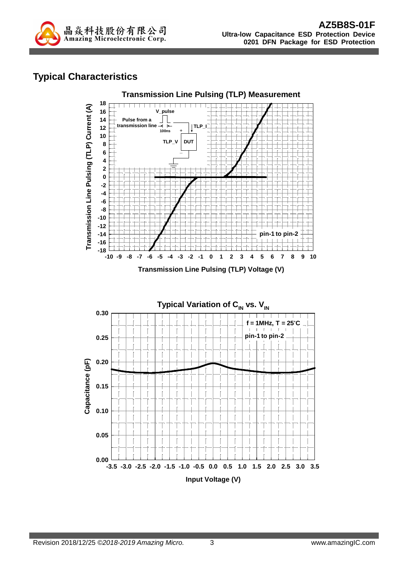

## **Typical Characteristics**



**Transmission Line Pulsing (TLP) Voltage (V)**

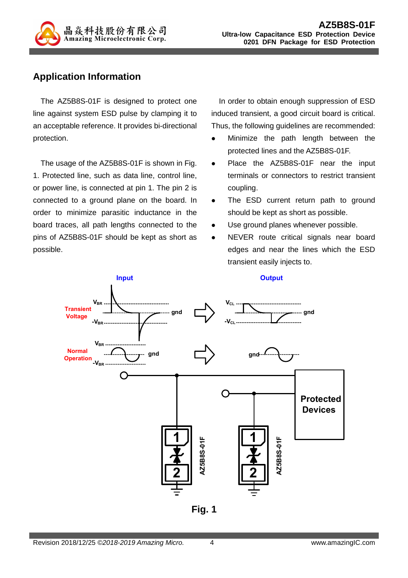

### **Application Information**

The AZ5B8S-01F is designed to protect one line against system ESD pulse by clamping it to an acceptable reference. It provides bi-directional protection.

The usage of the AZ5B8S-01F is shown in Fig. 1. Protected line, such as data line, control line, or power line, is connected at pin 1. The pin 2 is connected to a ground plane on the board. In order to minimize parasitic inductance in the board traces, all path lengths connected to the pins of AZ5B8S-01F should be kept as short as possible.

In order to obtain enough suppression of ESD induced transient, a good circuit board is critical. Thus, the following guidelines are recommended:

- Minimize the path length between the protected lines and the AZ5B8S-01F.
- Place the AZ5B8S-01F near the input terminals or connectors to restrict transient coupling.
- The ESD current return path to ground should be kept as short as possible.
- Use ground planes whenever possible.
- NEVER route critical signals near board edges and near the lines which the ESD transient easily injects to.



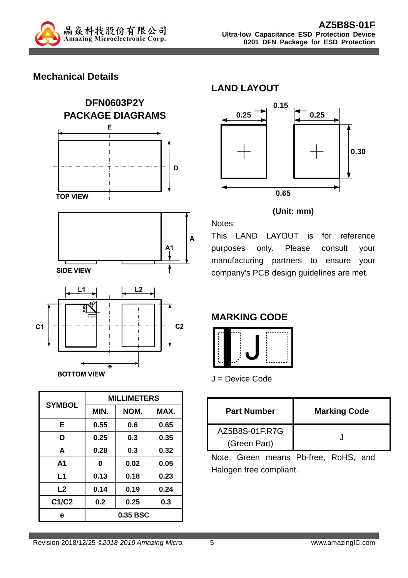

### **Mechanical Details**



| <b>SYMBOL</b> | <b>MILLIMETERS</b> |      |      |  |
|---------------|--------------------|------|------|--|
|               | MIN.<br>NOM.       |      | MAX. |  |
| Е             | 0.55               | 0.6  | 0.65 |  |
| D             | 0.25               | 0.3  | 0.35 |  |
| A             | 0.28               | 0.3  | 0.32 |  |
| A1            | 0                  | 0.02 | 0.05 |  |
| L1            | 0.13               | 0.18 | 0.23 |  |
| L2            | 0.14               | 0.19 | 0.24 |  |
| C1/C2         | 0.2                | 0.25 | 0.3  |  |
| е             | 0.35 BSC           |      |      |  |

#### **LAND LAYOUT**



#### **(Unit: mm)**

Notes:

This LAND LAYOUT is for reference purposes only. Please consult your manufacturing partners to ensure your company's PCB design guidelines are met.

## **MARKING CODE**



J = Device Code

| <b>Part Number</b> | <b>Marking Code</b> |  |
|--------------------|---------------------|--|
| AZ5B8S-01F.R7G     |                     |  |
| (Green Part)       |                     |  |

Note. Green means Pb-free, RoHS, and Halogen free compliant.